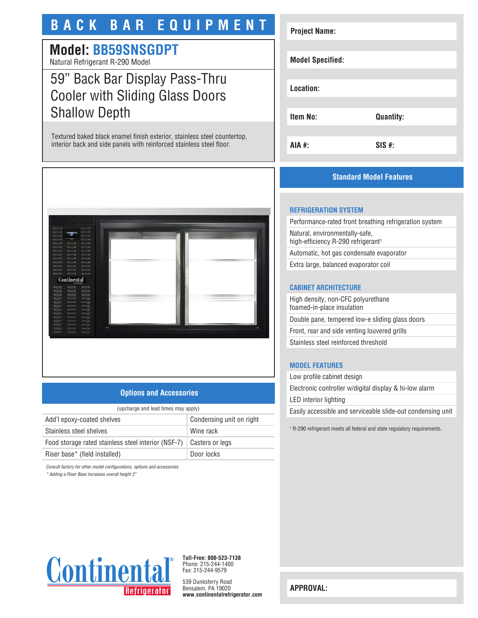# **BACK BAR EQUIPMENT**

# **Model: BB59SNSGDPT**

Natural Refrigerant R-290 Model

# 59" Back Bar Display Pass-Thru Cooler with Sliding Glass Doors Shallow Depth

Textured baked black enamel finish exterior, stainless steel countertop, interior back and side panels with reinforced stainless steel floor.



## **Options and Accessories**

| (upcharge and lead times may apply)                 |                          |
|-----------------------------------------------------|--------------------------|
| Add'l epoxy-coated shelves                          | Condensing unit on right |
| Stainless steel shelves                             | Wine rack                |
| Food storage rated stainless steel interior (NSF-7) | Casters or legs          |
| Riser base* (field installed)                       | Door locks               |

*Consult factory for other model configurations, options and accessories.*

*\* Adding a Riser Base increases overall height 2"*

# **Project Name: Model Specified: Location: Item No: Quantity: AIA #: SIS #:**

## **Standard Model Features**

#### **REFRIGERATION SYSTEM**

Performance-rated front breathing refrigeration system Natural, environmentally-safe, high-efficiency R-290 refrigerant<sup>1</sup> Automatic, hot gas condensate evaporator

Extra large, balanced evaporator coil

## **CABINET ARCHITECTURE**

High density, non-CFC polyurethane foamed-in-place insulation Double pane, tempered low-e sliding glass doors Front, rear and side venting louvered grills Stainless steel reinforced threshold

## **MODEL FEATURES**

Low profile cabinet design Electronic controller w/digital display & hi-low alarm LED interior lighting Easily accessible and serviceable slide-out condensing unit

1 R-290 refrigerant meets all federal and state regulatory requirements.



**Toll-Free: 800-523-7138** Phone: 215-244-1400 Fax: 215-244-9579

539 Dunksferry Road Bensalem, PA 19020 **www.continentalrefrigerator.com** 

**APPROVAL:**